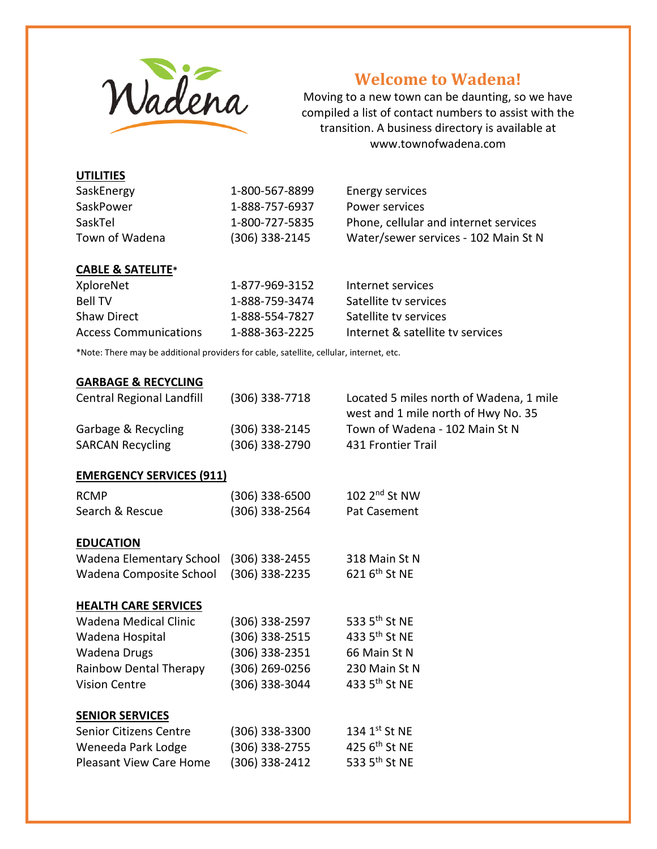

# **Welcome to Wadena!**

Moving to a new town can be daunting, so we have compiled a list of contact numbers to assist with the transition. A business directory is available at www.townofwadena.com

| SaskEnergy     | 1-800-567-8899   | Energy services                       |
|----------------|------------------|---------------------------------------|
| SaskPower      | 1-888-757-6937   | Power services                        |
| SaskTel        | 1-800-727-5835   | Phone, cellular and internet services |
| Town of Wadena | $(306)$ 338-2145 | Water/sewer services - 102 Main St N  |

#### **CABLE & SATELITE\***

| XploreNet             | 1-877-969-3152 | Internet services                |
|-----------------------|----------------|----------------------------------|
| <b>Bell TV</b>        | 1-888-759-3474 | Satellite ty services            |
| <b>Shaw Direct</b>    | 1-888-554-7827 | Satellite ty services            |
| Access Communications | 1-888-363-2225 | Internet & satellite ty services |

\*Note: There may be additional providers for cable, satellite, cellular, internet, etc.

#### **GARBAGE & RECYCLING**

| <b>Central Regional Landfill</b> | (306) 338-7718   | Located 5 miles north of Wadena, 1 mile<br>west and 1 mile north of Hwy No. 35 |
|----------------------------------|------------------|--------------------------------------------------------------------------------|
| Garbage & Recycling              | (306) 338-2145   | Town of Wadena - 102 Main St N                                                 |
| <b>SARCAN Recycling</b>          | (306) 338-2790   | 431 Frontier Trail                                                             |
| <b>EMERGENCY SERVICES (911)</b>  |                  |                                                                                |
| <b>RCMP</b>                      | (306) 338-6500   | 102 $2^{nd}$ St NW                                                             |
| Search & Rescue                  | (306) 338-2564   | Pat Casement                                                                   |
|                                  |                  |                                                                                |
| <b>EDUCATION</b>                 |                  |                                                                                |
| Wadena Elementary School         | $(306)$ 338-2455 | 318 Main St N                                                                  |
| Wadena Composite School          | (306) 338-2235   | 621 6 <sup>th</sup> St NE                                                      |
| <b>HEALTH CARE SERVICES</b>      |                  |                                                                                |
| Wadena Medical Clinic            | (306) 338-2597   | 533 5 <sup>th</sup> St NE                                                      |
| Wadena Hospital                  | (306) 338-2515   | 433 5 <sup>th</sup> St NE                                                      |
| Wadena Drugs                     | (306) 338-2351   | 66 Main St N                                                                   |
| Rainbow Dental Therapy           | (306) 269-0256   | 230 Main St N                                                                  |
| <b>Vision Centre</b>             | (306) 338-3044   | 433 5th St NE                                                                  |
| <b>SENIOR SERVICES</b>           |                  |                                                                                |
| Senior Citizens Centre           | (306) 338-3300   | $134 \; 1^{\rm st}$ St NE                                                      |
| Weneeda Park Lodge               | (306) 338-2755   | 425 6 <sup>th</sup> St NE                                                      |
| <b>Pleasant View Care Home</b>   | (306) 338-2412   | 533 5 <sup>th</sup> St NE                                                      |
|                                  |                  |                                                                                |